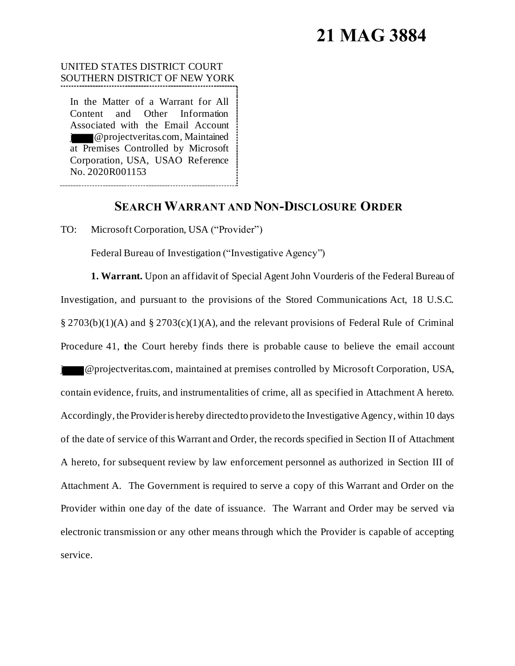# **21 MAG 3884**

# UNITED STATES DISTRICT COURT SOUTHERN DISTRICT OF NEW YORK

In the Matter of a Warrant for All Content and Other Information Associated with the Email Account j @projectveritas.com, Maintained at Premises Controlled by Microsoft Corporation, USA, USAO Reference No. 2020R001153

# **SEARCH WARRANT AND NON-DISCLOSURE ORDER**

TO: Microsoft Corporation, USA ("Provider")

Federal Bureau of Investigation ("Investigative Agency")

**1. Warrant.** Upon an affidavit of Special Agent John Vourderis of the Federal Bureau of Investigation, and pursuant to the provisions of the Stored Communications Act, 18 U.S.C.  $\S 2703(b)(1)(A)$  and  $\S 2703(c)(1)(A)$ , and the relevant provisions of Federal Rule of Criminal Procedure 41, **t**he Court hereby finds there is probable cause to believe the email account **Jero-** @projectveritas.com, maintained at premises controlled by Microsoft Corporation, USA, contain evidence, fruits, and instrumentalities of crime, all as specified in Attachment A hereto. Accordingly, the Provider is hereby directed to provide to the Investigative Agency, within 10 days of the date of service of this Warrant and Order, the records specified in Section II of Attachment A hereto, for subsequent review by law enforcement personnel as authorized in Section III of Attachment A. The Government is required to serve a copy of this Warrant and Order on the Provider within one day of the date of issuance. The Warrant and Order may be served via electronic transmission or any other means through which the Provider is capable of accepting service.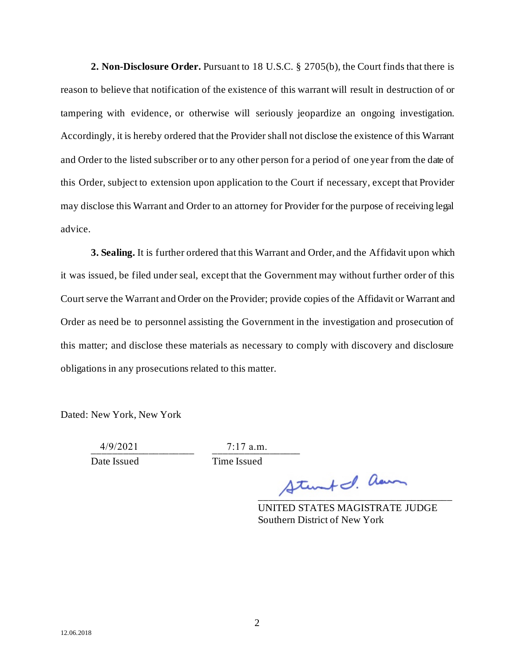**2. Non-Disclosure Order.** Pursuant to 18 U.S.C. § 2705(b), the Court finds that there is reason to believe that notification of the existence of this warrant will result in destruction of or tampering with evidence, or otherwise will seriously jeopardize an ongoing investigation. Accordingly, it is hereby ordered that the Provider shall not disclose the existence of this Warrant and Order to the listed subscriber or to any other person for a period of one year from the date of this Order, subject to extension upon application to the Court if necessary, except that Provider may disclose this Warrant and Order to an attorney for Provider for the purpose of receiving legal advice.

**3. Sealing.** It is further ordered that this Warrant and Order, and the Affidavit upon which it was issued, be filed under seal, except that the Government may without further order of this Court serve the Warrant and Order on the Provider; provide copies of the Affidavit or Warrant and Order as need be to personnel assisting the Government in the investigation and prosecution of this matter; and disclose these materials as necessary to comply with discovery and disclosure obligations in any prosecutions related to this matter.

Dated: New York, New York

 $4/9/2021$   $1/3.m.$ 

4/9/2021 7:17 a.m.

Date Issued Time Issued

 $\Delta t$ unt I. aan

UNITED STATES MAGISTRATE JUDGE Southern District of New York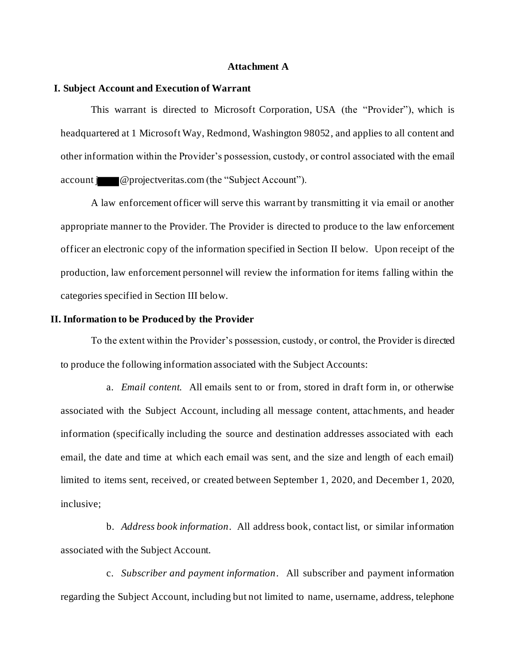#### **Attachment A**

## **I. Subject Account and Execution of Warrant**

This warrant is directed to Microsoft Corporation, USA (the "Provider"), which is headquartered at 1 Microsoft Way, Redmond, Washington 98052, and applies to all content and other information within the Provider's possession, custody, or control associated with the email account **i** @projectveritas.com (the "Subject Account").

A law enforcement officer will serve this warrant by transmitting it via email or another appropriate manner to the Provider. The Provider is directed to produce to the law enforcement officer an electronic copy of the information specified in Section II below. Upon receipt of the production, law enforcement personnel will review the information for items falling within the categories specified in Section III below.

## **II. Information to be Produced by the Provider**

To the extent within the Provider's possession, custody, or control, the Provider is directed to produce the following information associated with the Subject Accounts:

a. *Email content.* All emails sent to or from, stored in draft form in, or otherwise associated with the Subject Account, including all message content, attachments, and header information (specifically including the source and destination addresses associated with each email, the date and time at which each email was sent, and the size and length of each email) limited to items sent, received, or created between September 1, 2020, and December 1, 2020, inclusive;

b. *Address book information*. All address book, contact list, or similar information associated with the Subject Account.

c. *Subscriber and payment information*. All subscriber and payment information regarding the Subject Account, including but not limited to name, username, address, telephone